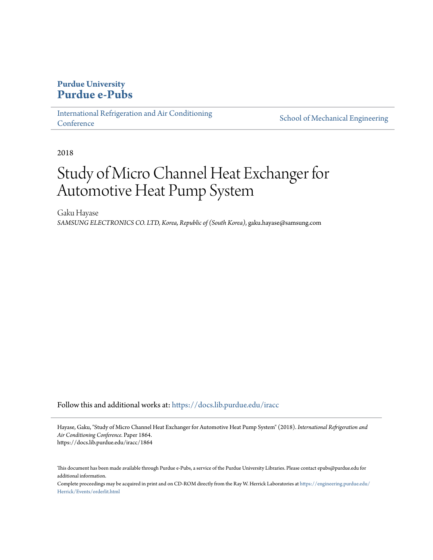## **Purdue University [Purdue e-Pubs](https://docs.lib.purdue.edu?utm_source=docs.lib.purdue.edu%2Firacc%2F1864&utm_medium=PDF&utm_campaign=PDFCoverPages)**

[International Refrigeration and Air Conditioning](https://docs.lib.purdue.edu/iracc?utm_source=docs.lib.purdue.edu%2Firacc%2F1864&utm_medium=PDF&utm_campaign=PDFCoverPages) **[Conference](https://docs.lib.purdue.edu/iracc?utm_source=docs.lib.purdue.edu%2Firacc%2F1864&utm_medium=PDF&utm_campaign=PDFCoverPages)** 

[School of Mechanical Engineering](https://docs.lib.purdue.edu/me?utm_source=docs.lib.purdue.edu%2Firacc%2F1864&utm_medium=PDF&utm_campaign=PDFCoverPages)

2018

# Study of Micro Channel Heat Exchanger for Automotive Heat Pump System

Gaku Hayase *SAMSUNG ELECTRONICS CO. LTD, Korea, Republic of (South Korea)*, gaku.hayase@samsung.com

Follow this and additional works at: [https://docs.lib.purdue.edu/iracc](https://docs.lib.purdue.edu/iracc?utm_source=docs.lib.purdue.edu%2Firacc%2F1864&utm_medium=PDF&utm_campaign=PDFCoverPages)

Hayase, Gaku, "Study of Micro Channel Heat Exchanger for Automotive Heat Pump System" (2018). *International Refrigeration and Air Conditioning Conference.* Paper 1864. https://docs.lib.purdue.edu/iracc/1864

This document has been made available through Purdue e-Pubs, a service of the Purdue University Libraries. Please contact epubs@purdue.edu for additional information.

Complete proceedings may be acquired in print and on CD-ROM directly from the Ray W. Herrick Laboratories at [https://engineering.purdue.edu/](https://engineering.purdue.edu/Herrick/Events/orderlit.html) [Herrick/Events/orderlit.html](https://engineering.purdue.edu/Herrick/Events/orderlit.html)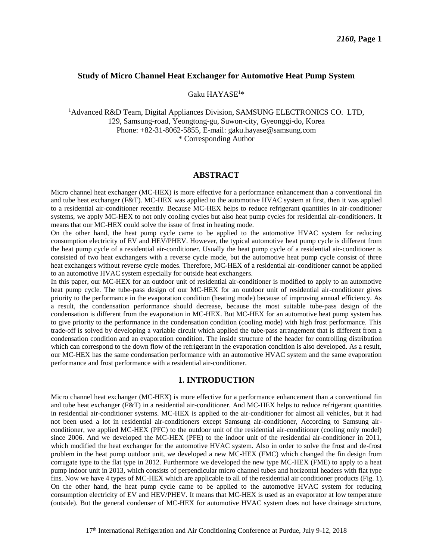#### **Study of Micro Channel Heat Exchanger for Automotive Heat Pump System**

#### Gaku HAYASE<sup>1</sup>\*

<sup>1</sup>Advanced R&D Team, Digital Appliances Division, SAMSUNG ELECTRONICS CO. LTD, 129, Samsung-road, Yeongtong-gu, Suwon-city, Gyeonggi-do, Korea Phone: +82-31-8062-5855, E-mail: gaku.hayase@samsung.com \* Corresponding Author

#### **ABSTRACT**

Micro channel heat exchanger (MC-HEX) is more effective for a performance enhancement than a conventional fin and tube heat exchanger (F&T). MC-HEX was applied to the automotive HVAC system at first, then it was applied to a residential air-conditioner recently. Because MC-HEX helps to reduce refrigerant quantities in air-conditioner systems, we apply MC-HEX to not only cooling cycles but also heat pump cycles for residential air-conditioners. It means that our MC-HEX could solve the issue of frost in heating mode.

On the other hand, the heat pump cycle came to be applied to the automotive HVAC system for reducing consumption electricity of EV and HEV/PHEV. However, the typical automotive heat pump cycle is different from the heat pump cycle of a residential air-conditioner. Usually the heat pump cycle of a residential air-conditioner is consisted of two heat exchangers with a reverse cycle mode, but the automotive heat pump cycle consist of three heat exchangers without reverse cycle modes. Therefore, MC-HEX of a residential air-conditioner cannot be applied to an automotive HVAC system especially for outside heat exchangers.

In this paper, our MC-HEX for an outdoor unit of residential air-conditioner is modified to apply to an automotive heat pump cycle. The tube-pass design of our MC-HEX for an outdoor unit of residential air-conditioner gives priority to the performance in the evaporation condition (heating mode) because of improving annual efficiency. As a result, the condensation performance should decrease, because the most suitable tube-pass design of the condensation is different from the evaporation in MC-HEX. But MC-HEX for an automotive heat pump system has to give priority to the performance in the condensation condition (cooling mode) with high frost performance. This trade-off is solved by developing a variable circuit which applied the tube-pass arrangement that is different from a condensation condition and an evaporation condition. The inside structure of the header for controlling distribution which can correspond to the down flow of the refrigerant in the evaporation condition is also developed. As a result, our MC-HEX has the same condensation performance with an automotive HVAC system and the same evaporation performance and frost performance with a residential air-conditioner.

#### **1. INTRODUCTION**

Micro channel heat exchanger (MC-HEX) is more effective for a performance enhancement than a conventional fin and tube heat exchanger (F&T) in a residential air-conditioner. And MC-HEX helps to reduce refrigerant quantities in residential air-conditioner systems. MC-HEX is applied to the air-conditioner for almost all vehicles, but it had not been used a lot in residential air-conditioners except Samsung air-conditioner, According to Samsung airconditioner, we applied MC-HEX (PFC) to the outdoor unit of the residential air-conditioner (cooling only model) since 2006. And we developed the MC-HEX (PFE) to the indoor unit of the residential air-conditioner in 2011, which modified the heat exchanger for the automotive HVAC system. Also in order to solve the frost and de-frost problem in the heat pump outdoor unit, we developed a new MC-HEX (FMC) which changed the fin design from corrugate type to the flat type in 2012. Furthermore we developed the new type MC-HEX (FME) to apply to a heat pump indoor unit in 2013, which consists of perpendicular micro channel tubes and horizontal headers with flat type fins. Now we have 4 types of MC-HEX which are applicable to all of the residential air conditioner products (Fig. 1). On the other hand, the heat pump cycle came to be applied to the automotive HVAC system for reducing consumption electricity of EV and HEV/PHEV. It means that MC-HEX is used as an evaporator at low temperature (outside). But the general condenser of MC-HEX for automotive HVAC system does not have drainage structure,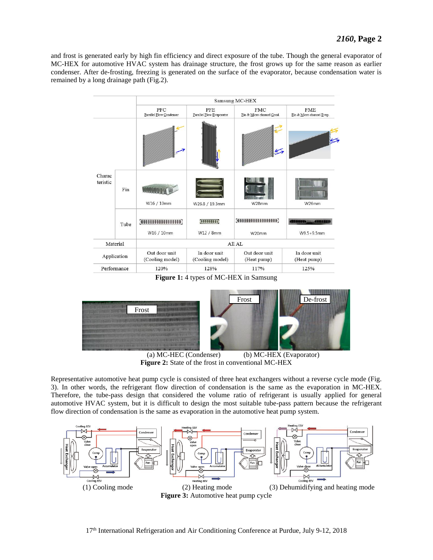and frost is generated early by high fin efficiency and direct exposure of the tube. Though the general evaporator of MC-HEX for automotive HVAC system has drainage structure, the frost grows up for the same reason as earlier condenser. After de-frosting, freezing is generated on the surface of the evaporator, because condensation water is remained by a long drainage path (Fig.2).





 (a) MC-HEC (Condenser) (b) MC-HEX (Evaporator) **Figure 2:** State of the frost in conventional MC-HEX

Representative automotive heat pump cycle is consisted of three heat exchangers without a reverse cycle mode (Fig. 3). In other words, the refrigerant flow direction of condensation is the same as the evaporation in MC-HEX. Therefore, the tube-pass design that considered the volume ratio of refrigerant is usually applied for general automotive HVAC system, but it is difficult to design the most suitable tube-pass pattern because the refrigerant flow direction of condensation is the same as evaporation in the automotive heat pump system.

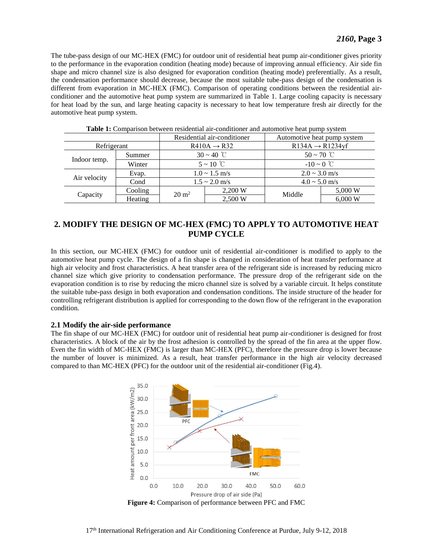The tube-pass design of our MC-HEX (FMC) for outdoor unit of residential heat pump air-conditioner gives priority to the performance in the evaporation condition (heating mode) because of improving annual efficiency. Air side fin shape and micro channel size is also designed for evaporation condition (heating mode) preferentially. As a result, the condensation performance should decrease, because the most suitable tube-pass design of the condensation is different from evaporation in MC-HEX (FMC). Comparison of operating conditions between the residential airconditioner and the automotive heat pump system are summarized in Table 1. Large cooling capacity is necessary for heat load by the sun, and large heating capacity is necessary to heat low temperature fresh air directly for the automotive heat pump system.

|              |         |                         | Residential air-conditioner | Automotive heat pump system  |         |  |
|--------------|---------|-------------------------|-----------------------------|------------------------------|---------|--|
| Refrigerant  |         | $R410A \rightarrow R32$ |                             | $R134A \rightarrow R1234$ yf |         |  |
|              | Summer  | $30 \sim 40$ °C         |                             | $50 \sim 70$ °C              |         |  |
| Indoor temp. | Winter  | $5 \sim 10^{\circ}$ C   |                             | $-10 \sim 0$ °C              |         |  |
|              | Evap.   | $1.0 \sim 1.5$ m/s      |                             | $2.0 \sim 3.0$ m/s           |         |  |
| Air velocity | Cond    | $1.5 \sim 2.0$ m/s      |                             | $4.0 \sim 5.0$ m/s           |         |  |
| Capacity     | Cooling | $20 \text{ m}^2$        | 2,200 W                     | Middle                       | 5,000 W |  |
|              | Heating |                         | 2,500 W                     |                              | 6,000 W |  |

**Table 1:** Comparison between residential air-conditioner and automotive heat pump system

### **2. MODIFY THE DESIGN OF MC-HEX (FMC) TO APPLY TO AUTOMOTIVE HEAT PUMP CYCLE**

In this section, our MC-HEX (FMC) for outdoor unit of residential air-conditioner is modified to apply to the automotive heat pump cycle. The design of a fin shape is changed in consideration of heat transfer performance at high air velocity and frost characteristics. A heat transfer area of the refrigerant side is increased by reducing micro channel size which give priority to condensation performance. The pressure drop of the refrigerant side on the evaporation condition is to rise by reducing the micro channel size is solved by a variable circuit. It helps constitute the suitable tube-pass design in both evaporation and condensation conditions. The inside structure of the header for controlling refrigerant distribution is applied for corresponding to the down flow of the refrigerant in the evaporation condition.

#### **2.1 Modify the air-side performance**

The fin shape of our MC-HEX (FMC) for outdoor unit of residential heat pump air-conditioner is designed for frost characteristics. A block of the air by the frost adhesion is controlled by the spread of the fin area at the upper flow. Even the fin width of MC-HEX (FMC) is larger than MC-HEX (PFC), therefore the pressure drop is lower because the number of louver is minimized. As a result, heat transfer performance in the high air velocity decreased compared to than MC-HEX (PFC) for the outdoor unit of the residential air-conditioner (Fig.4).



**Figure 4:** Comparison of performance between PFC and FMC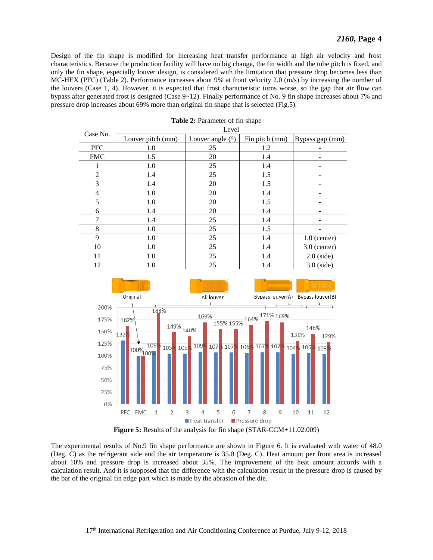Design of the fin shape is modified for increasing heat transfer performance at high air velocity and frost characteristics. Because the production facility will have no big change, the fin width and the tube pitch is fixed, and only the fin shape, especially louver design, is considered with the limitation that pressure drop becomes less than MC-HEX (PFC) (Table 2). Performance increases about 9% at front velocity 2.0 (m/s) by increasing the number of the louvers (Case 1, 4). However, it is expected that frost characteristic turns worse, so the gap that air flow can bypass after generated frost is designed (Case 9~12). Finally performance of No. 9 fin shape increases about 7% and pressure drop increases about 69% more than original fin shape that is selected (Fig.5).

| Table 2: Parameter of fin shape |                   |                    |                |                 |  |  |  |  |
|---------------------------------|-------------------|--------------------|----------------|-----------------|--|--|--|--|
| Case No.                        | Level             |                    |                |                 |  |  |  |  |
|                                 | Louver pitch (mm) | Louver angle $(°)$ | Fin pitch (mm) | Bypass gap (mm) |  |  |  |  |
| <b>PFC</b>                      | 1.0               | 25                 | 1.2            |                 |  |  |  |  |
| <b>FMC</b>                      | 1.5               | 20                 | 1.4            |                 |  |  |  |  |
|                                 | 1.0               | 25                 | 1.4            |                 |  |  |  |  |
| 2                               | 1.4               | 25                 | 1.5            |                 |  |  |  |  |
| 3                               | 1.4               | 20                 | 1.5            |                 |  |  |  |  |
| $\overline{4}$                  | 1.0               | 20                 | 1.4            |                 |  |  |  |  |
| 5                               | 1.0               | 20                 | 1.5            |                 |  |  |  |  |
| 6                               | 1.4               | 20                 | 1.4            |                 |  |  |  |  |
| 7                               | 1.4               | 25                 | 1.4            |                 |  |  |  |  |
| 8                               | 1.0               | 25                 | 1.5            |                 |  |  |  |  |
| 9                               | 1.0               | 25                 | 1.4            | $1.0$ (center)  |  |  |  |  |
| 10                              | 1.0               | 25                 | 1.4            | $3.0$ (center)  |  |  |  |  |
| 11                              | 1.0               | 25                 | 1.4            | $2.0$ (side)    |  |  |  |  |
| 12                              | 1.0               | 25                 | 1.4            | $3.0$ (side)    |  |  |  |  |





The experimental results of No.9 fin shape performance are shown in Figure 6. It is evaluated with water of 48.0 (Deg. C) as the refrigerant side and the air temperature is 35.0 (Deg. C). Heat amount per front area is increased about 10% and pressure drop is increased about 35%. The improvement of the heat amount accords with a calculation result. And it is supposed that the difference with the calculation result in the pressure drop is caused by the bar of the original fin edge part which is made by the abrasion of the die.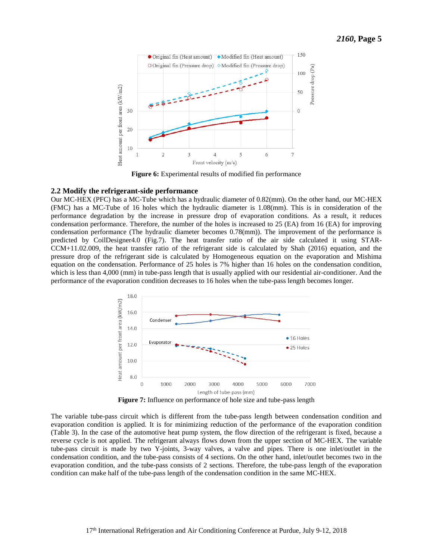

**Figure 6:** Experimental results of modified fin performance

#### **2.2 Modify the refrigerant-side performance**

Our MC-HEX (PFC) has a MC-Tube which has a hydraulic diameter of 0.82(mm). On the other hand, our MC-HEX (FMC) has a MC-Tube of 16 holes which the hydraulic diameter is 1.08(mm). This is in consideration of the performance degradation by the increase in pressure drop of evaporation conditions. As a result, it reduces condensation performance. Therefore, the number of the holes is increased to 25 (EA) from 16 (EA) for improving condensation performance (The hydraulic diameter becomes 0.78(mm)). The improvement of the performance is predicted by CoilDesigner4.0 (Fig.7). The heat transfer ratio of the air side calculated it using STAR-CCM+11.02.009, the heat transfer ratio of the refrigerant side is calculated by Shah (2016) equation, and the pressure drop of the refrigerant side is calculated by Homogeneous equation on the evaporation and Mishima equation on the condensation. Performance of 25 holes is 7% higher than 16 holes on the condensation condition, which is less than 4,000 (mm) in tube-pass length that is usually applied with our residential air-conditioner. And the performance of the evaporation condition decreases to 16 holes when the tube-pass length becomes longer.



**Figure 7:** Influence on performance of hole size and tube-pass length

The variable tube-pass circuit which is different from the tube-pass length between condensation condition and evaporation condition is applied. It is for minimizing reduction of the performance of the evaporation condition (Table 3). In the case of the automotive heat pump system, the flow direction of the refrigerant is fixed, because a reverse cycle is not applied. The refrigerant always flows down from the upper section of MC-HEX. The variable tube-pass circuit is made by two Y-joints, 3-way valves, a valve and pipes. There is one inlet/outlet in the condensation condition, and the tube-pass consists of 4 sections. On the other hand, inlet/outlet becomes two in the evaporation condition, and the tube-pass consists of 2 sections. Therefore, the tube-pass length of the evaporation condition can make half of the tube-pass length of the condensation condition in the same MC-HEX.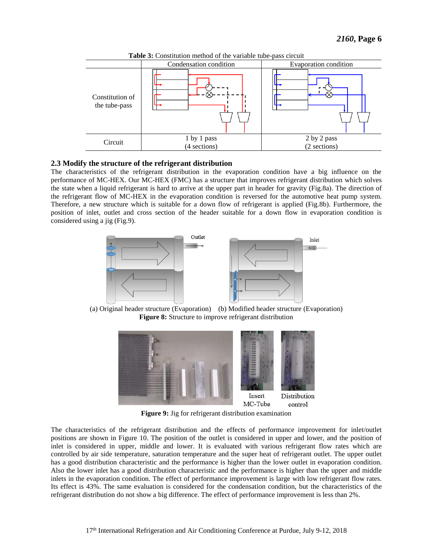

**Table 3:** Constitution method of the variable tube-pass circuit

#### **2.3 Modify the structure of the refrigerant distribution**

The characteristics of the refrigerant distribution in the evaporation condition have a big influence on the performance of MC-HEX. Our MC-HEX (FMC) has a structure that improves refrigerant distribution which solves the state when a liquid refrigerant is hard to arrive at the upper part in header for gravity (Fig.8a). The direction of the refrigerant flow of MC-HEX in the evaporation condition is reversed for the automotive heat pump system. Therefore, a new structure which is suitable for a down flow of refrigerant is applied (Fig.8b). Furthermore, the position of inlet, outlet and cross section of the header suitable for a down flow in evaporation condition is considered using a jig (Fig.9).



(a) Original header structure (Evaporation) (b) Modified header structure (Evaporation) **Figure 8:** Structure to improve refrigerant distribution



**Figure 9:** Jig for refrigerant distribution examination

The characteristics of the refrigerant distribution and the effects of performance improvement for inlet/outlet positions are shown in Figure 10. The position of the outlet is considered in upper and lower, and the position of inlet is considered in upper, middle and lower. It is evaluated with various refrigerant flow rates which are controlled by air side temperature, saturation temperature and the super heat of refrigerant outlet. The upper outlet has a good distribution characteristic and the performance is higher than the lower outlet in evaporation condition. Also the lower inlet has a good distribution characteristic and the performance is higher than the upper and middle inlets in the evaporation condition. The effect of performance improvement is large with low refrigerant flow rates. Its effect is 43%. The same evaluation is considered for the condensation condition, but the characteristics of the refrigerant distribution do not show a big difference. The effect of performance improvement is less than 2%.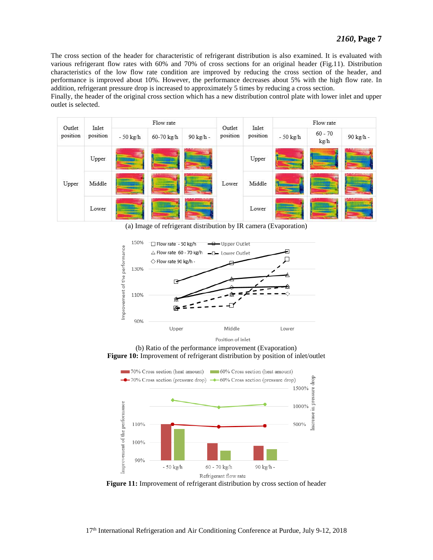The cross section of the header for characteristic of refrigerant distribution is also examined. It is evaluated with various refrigerant flow rates with 60% and 70% of cross sections for an original header (Fig.11). Distribution characteristics of the low flow rate condition are improved by reducing the cross section of the header, and performance is improved about 10%. However, the performance decreases about 5% with the high flow rate. In addition, refrigerant pressure drop is increased to approximately 5 times by reducing a cross section.

Finally, the header of the original cross section which has a new distribution control plate with lower inlet and upper outlet is selected.

| Inlet<br>Outlet<br>position |          | Flow rate |            |           | Outlet   | Inlet    | Flow rate  |                   |           |
|-----------------------------|----------|-----------|------------|-----------|----------|----------|------------|-------------------|-----------|
|                             | position | - 50 kg/h | 60-70 kg/h | 90 kg/h - | position | position | $-50$ kg/h | $60 - 70$<br>kg/h | 90 kg/h - |
|                             | Upper    |           |            |           | Lower    | Upper    |            |                   |           |
| Upper                       | Middle   |           |            |           |          | Middle   |            |                   |           |
|                             | Lower    |           |            |           |          | Lower    |            |                   |           |

(a) Image of refrigerant distribution by IR camera (Evaporation)



**Figure 10:** Improvement of refrigerant distribution by position of inlet/outlet



**Figure 11:** Improvement of refrigerant distribution by cross section of header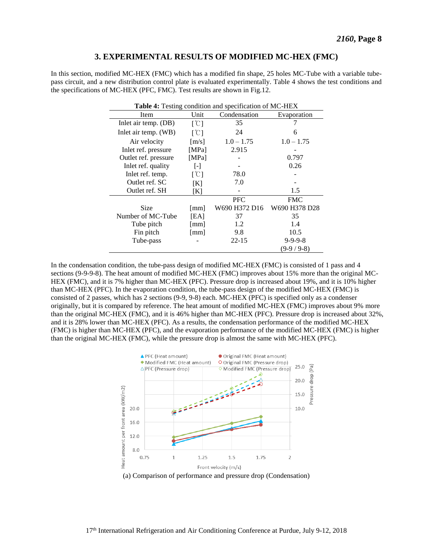#### **3. EXPERIMENTAL RESULTS OF MODIFIED MC-HEX (FMC)**

In this section, modified MC-HEX (FMC) which has a modified fin shape, 25 holes MC-Tube with a variable tubepass circuit, and a new distribution control plate is evaluated experimentally. Table 4 shows the test conditions and the specifications of MC-HEX (PFC, FMC). Test results are shown in Fig.12.

| <b>Table 4:</b> Testing condition and specification of MC-HEX |                           |               |                 |  |  |  |
|---------------------------------------------------------------|---------------------------|---------------|-----------------|--|--|--|
| Item                                                          | Unit                      | Condensation  | Evaporation     |  |  |  |
| Inlet air temp. (DB)                                          | $\lceil \text{°C} \rceil$ | 35            |                 |  |  |  |
| Inlet air temp. (WB)                                          | $\lceil \text{°C} \rceil$ | 24            | 6               |  |  |  |
| Air velocity                                                  | [m/s]                     | $1.0 - 1.75$  | $1.0 - 1.75$    |  |  |  |
| Inlet ref. pressure                                           | [MPa]                     | 2.915         |                 |  |  |  |
| Outlet ref. pressure                                          | [MPa]                     |               | 0.797           |  |  |  |
| Inlet ref. quality                                            | $\lceil - \rceil$         |               | 0.26            |  |  |  |
| Inlet ref. temp.                                              | $\lceil \text{°C} \rceil$ | 78.0          |                 |  |  |  |
| Outlet ref. SC                                                | [K]                       | 7.0           |                 |  |  |  |
| Outlet ref. SH                                                | [K]                       |               | 1.5             |  |  |  |
|                                                               |                           | <b>PFC</b>    | <b>FMC</b>      |  |  |  |
| Size                                                          | $\lceil$ mm $\rceil$      | W690 H372 D16 | W690 H378 D28   |  |  |  |
| Number of MC-Tube                                             | [EA]                      | 37            | 35              |  |  |  |
| Tube pitch                                                    | $\lceil$ mm $\rceil$      | 1.2           | 1.4             |  |  |  |
| Fin pitch                                                     | $\lceil$ mm $\rceil$      | 9.8           | 10.5            |  |  |  |
| Tube-pass                                                     |                           | $22 - 15$     | $9 - 9 - 9 - 8$ |  |  |  |
|                                                               |                           |               | (9-9 / 9-8)     |  |  |  |

In the condensation condition, the tube-pass design of modified MC-HEX (FMC) is consisted of 1 pass and 4 sections (9-9-9-8). The heat amount of modified MC-HEX (FMC) improves about 15% more than the original MC-HEX (FMC), and it is 7% higher than MC-HEX (PFC). Pressure drop is increased about 19%, and it is 10% higher than MC-HEX (PFC). In the evaporation condition, the tube-pass design of the modified MC-HEX (FMC) is consisted of 2 passes, which has 2 sections (9-9, 9-8) each. MC-HEX (PFC) is specified only as a condenser originally, but it is compared by reference. The heat amount of modified MC-HEX (FMC) improves about 9% more than the original MC-HEX (FMC), and it is 46% higher than MC-HEX (PFC). Pressure drop is increased about 32%, and it is 28% lower than MC-HEX (PFC). As a results, the condensation performance of the modified MC-HEX (FMC) is higher than MC-HEX (PFC), and the evaporation performance of the modified MC-HEX (FMC) is higher than the original MC-HEX (FMC), while the pressure drop is almost the same with MC-HEX (PFC).



(a) Comparison of performance and pressure drop (Condensation)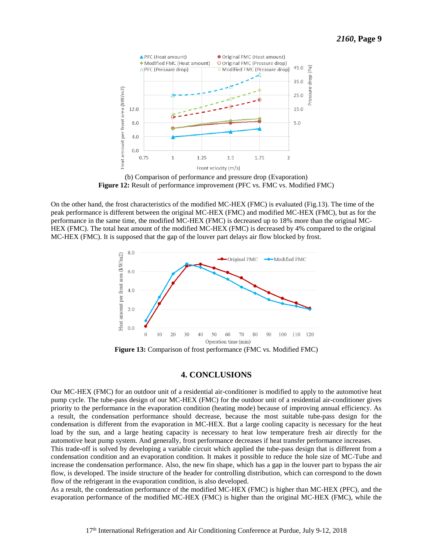

(b) Comparison of performance and pressure drop (Evaporation) **Figure 12:** Result of performance improvement (PFC vs. FMC vs. Modified FMC)

On the other hand, the frost characteristics of the modified MC-HEX (FMC) is evaluated (Fig.13). The time of the peak performance is different between the original MC-HEX (FMC) and modified MC-HEX (FMC), but as for the performance in the same time, the modified MC-HEX (FMC) is decreased up to 18% more than the original MC-HEX (FMC). The total heat amount of the modified MC-HEX (FMC) is decreased by 4% compared to the original MC-HEX (FMC). It is supposed that the gap of the louver part delays air flow blocked by frost.



**Figure 13:** Comparison of frost performance (FMC vs. Modified FMC)

#### **4. CONCLUSIONS**

Our MC-HEX (FMC) for an outdoor unit of a residential air-conditioner is modified to apply to the automotive heat pump cycle. The tube-pass design of our MC-HEX (FMC) for the outdoor unit of a residential air-conditioner gives priority to the performance in the evaporation condition (heating mode) because of improving annual efficiency. As a result, the condensation performance should decrease, because the most suitable tube-pass design for the condensation is different from the evaporation in MC-HEX. But a large cooling capacity is necessary for the heat load by the sun, and a large heating capacity is necessary to heat low temperature fresh air directly for the automotive heat pump system. And generally, frost performance decreases if heat transfer performance increases.

This trade-off is solved by developing a variable circuit which applied the tube-pass design that is different from a condensation condition and an evaporation condition. It makes it possible to reduce the hole size of MC-Tube and increase the condensation performance. Also, the new fin shape, which has a gap in the louver part to bypass the air flow, is developed. The inside structure of the header for controlling distribution, which can correspond to the down flow of the refrigerant in the evaporation condition, is also developed.

As a result, the condensation performance of the modified MC-HEX (FMC) is higher than MC-HEX (PFC), and the evaporation performance of the modified MC-HEX (FMC) is higher than the original MC-HEX (FMC), while the